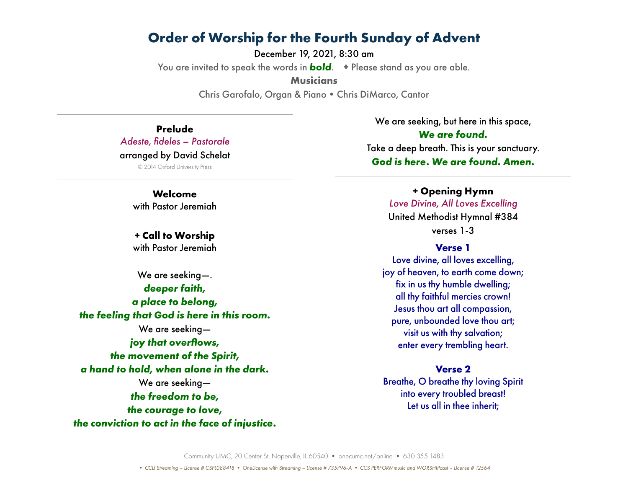December 19, 2021, 8:30 am You are invited to speak the words in *bold*. **+** Please stand as you are able. **Musicians** Chris Garofalo, Organ & Piano•Chris DiMarco, Cantor

**Prelude** *Adeste, fideles – Pastorale* arranged by David Schelat

© 2014 Oxford University Press

**Welcome** with Pastor Jeremiah

**+ Call to Worship** with Pastor Jeremiah

We are seeking—. *deeper faith, a place to belong, the feeling that God is here in this room.* We are seeking *joy that overflows, the movement of the Spirit, a hand to hold, when alone in the dark.* We are seeking *the freedom to be, the courage to love, the conviction to act in the face of injustice.*

We are seeking, but here in this space, *We are found.* Take a deep breath. This is your sanctuary. *God is here. We are found. Amen.*

> **+ Opening Hymn** *Love Divine, All Loves Excelling* United Methodist Hymnal #384 verses 1-3

#### **Verse 1**

Love divine, all loves excelling, joy of heaven, to earth come down; fix in us thy humble dwelling; all thy faithful mercies crown! Jesus thou art all compassion, pure, unbounded love thou art; visit us with thy salvation; enter every trembling heart.

#### **Verse 2**

Breathe, O breathe thy loving Spirit into every troubled breast! Let us all in thee inherit;

Community UMC, 20 Center St, Naperville, IL 60540 • onecumc.net/online • 630 355 1483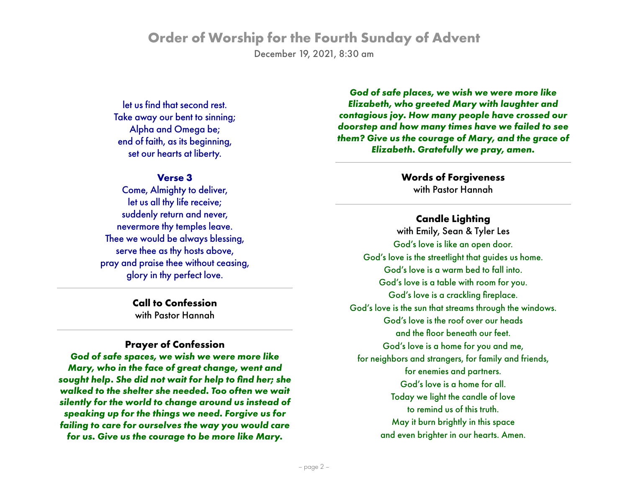December 19, 2021, 8:30 am

let us find that second rest. Take away our bent to sinning; Alpha and Omega be; end of faith, as its beginning, set our hearts at liberty.

#### **Verse 3**

Come, Almighty to deliver, let us all thy life receive; suddenly return and never, nevermore thy temples leave. Thee we would be always blessing, serve thee as thy hosts above, pray and praise thee without ceasing, glory in thy perfect love.

> **Call to Confession** with Pastor Hannah

#### **Prayer of Confession**

*God of safe spaces, we wish we were more like Mary, who in the face of great change, went and sought help. She did not wait for help to find her; she walked to the shelter she needed. Too often we wait silently for the world to change around us instead of speaking up for the things we need. Forgive us for failing to care for ourselves the way you would care for us. Give us the courage to be more like Mary.* 

*God of safe places, we wish we were more like Elizabeth, who greeted Mary with laughter and contagious joy. How many people have crossed our doorstep and how many times have we failed to see them? Give us the courage of Mary, and the grace of Elizabeth. Gratefully we pray, amen.*

> **Words of Forgiveness** with Pastor Hannah

#### **Candle Lighting**

with Emily, Sean & Tyler Les God's love is like an open door. God's love is the streetlight that guides us home. God's love is a warm bed to fall into. God's love is a table with room for you. God's love is a crackling fireplace. God's love is the sun that streams through the windows. God's love is the roof over our heads and the floor beneath our feet. God's love is a home for you and me, for neighbors and strangers, for family and friends, for enemies and partners. God's love is a home for all. Today we light the candle of love to remind us of this truth. May it burn brightly in this space and even brighter in our hearts. Amen.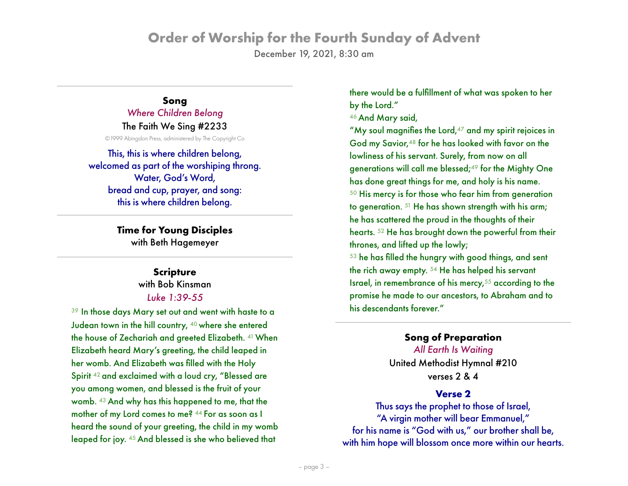December 19, 2021, 8:30 am

## **Song** *Where Children Belong*

The Faith We Sing #2233

©1999 Abingdon Press, administered by The Copyright Co

This, this is where children belong, welcomed as part of the worshiping throng. Water, God's Word, bread and cup, prayer, and song: this is where children belong.

> **Time for Young Disciples** with Beth Hagemeyer

## **Scripture**

with Bob Kinsman *Luke 1:39-55*

<sup>39</sup> In those days Mary set out and went with haste to a Judean town in the hill country, 40 where she entered the house of Zechariah and greeted Elizabeth. 41 When Elizabeth heard Mary's greeting, the child leaped in her womb. And Elizabeth was filled with the Holy Spirit <sup>42</sup> and exclaimed with a loud cry, "Blessed are you among women, and blessed is the fruit of your womb. 43 And why has this happened to me, that the mother of my Lord comes to me? 44 For as soon as I heard the sound of your greeting, the child in my womb leaped for joy. 45 And blessed is she who believed that

there would be a fulfillment of what was spoken to her by the Lord."

46 And Mary said,

"My soul magnifies the Lord, $47$  and my spirit rejoices in God my Savior,<sup>48</sup> for he has looked with favor on the lowliness of his servant. Surely, from now on all generations will call me blessed;<sup>49</sup> for the Mighty One has done great things for me, and holy is his name. <sup>50</sup> His mercy is for those who fear him from generation to generation. 51 He has shown strength with his arm; he has scattered the proud in the thoughts of their hearts. 52 He has brought down the powerful from their thrones, and lifted up the lowly;

<sup>53</sup> he has filled the hungry with good things, and sent the rich away empty. 54 He has helped his servant Israel, in remembrance of his mercy,<sup>55</sup> according to the promise he made to our ancestors, to Abraham and to his descendants forever."

## **Song of Preparation**

*All Earth Is Waiting* United Methodist Hymnal #210 verses 2 & 4

### **Verse 2**

Thus says the prophet to those of Israel, "A virgin mother will bear Emmanuel," for his name is "God with us," our brother shall be, with him hope will blossom once more within our hearts.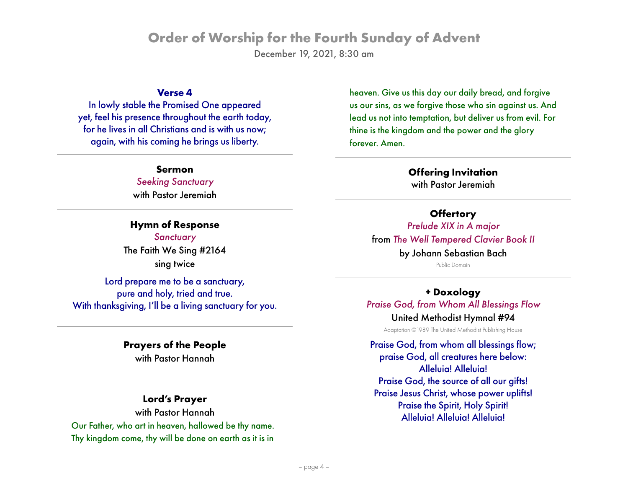December 19, 2021, 8:30 am

#### **Verse 4**

In lowly stable the Promised One appeared yet, feel his presence throughout the earth today, for he lives in all Christians and is with us now; again, with his coming he brings us liberty.

**Sermon**

*Seeking Sanctuary* with Pastor Jeremiah

**Hymn of Response** *Sanctuary* The Faith We Sing #2164 sing twice

Lord prepare me to be a sanctuary, pure and holy, tried and true. With thanksgiving, I'll be a living sanctuary for you.

#### **Prayers of the People**

with Pastor Hannah

### **Lord's Prayer**

with Pastor Hannah Our Father, who art in heaven, hallowed be thy name. Thy kingdom come, thy will be done on earth as it is in

heaven. Give us this day our daily bread, and forgive us our sins, as we forgive those who sin against us. And lead us not into temptation, but deliver us from evil. For thine is the kingdom and the power and the glory forever. Amen.

#### **Offering Invitation** with Pastor Jeremiah

#### **Offertory**

*Prelude XIX in A major*  from *The Well Tempered Clavier Book II* by Johann Sebastian Bach

Public Domain

**+ Doxology** *Praise God, from Whom All Blessings Flow*

### United Methodist Hymnal #94

Adaptation ©1989 The United Methodist Publishing House

Praise God, from whom all blessings flow; praise God, all creatures here below: Alleluia! Alleluia! Praise God, the source of all our gifts! Praise Jesus Christ, whose power uplifts! Praise the Spirit, Holy Spirit! Alleluia! Alleluia! Alleluia!